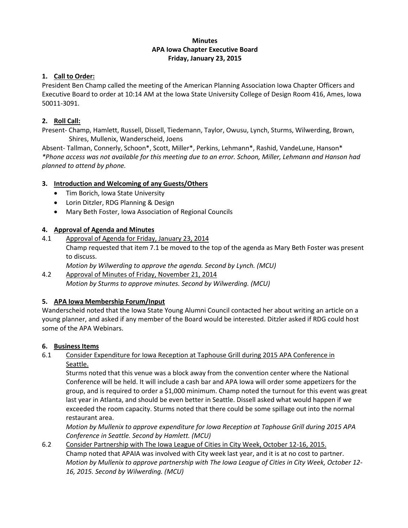#### **Minutes APA Iowa Chapter Executive Board Friday, January 23, 2015**

#### **1. Call to Order:**

President Ben Champ called the meeting of the American Planning Association Iowa Chapter Officers and Executive Board to order at 10:14 AM at the Iowa State University College of Design Room 416, Ames, Iowa 50011-3091.

### **2. Roll Call:**

Present- Champ, Hamlett, Russell, Dissell, Tiedemann, Taylor, Owusu, Lynch, Sturms, Wilwerding, Brown, Shires, Mullenix, Wanderscheid, Joens

Absent- Tallman, Connerly, Schoon\*, Scott, Miller\*, Perkins, Lehmann\*, Rashid, VandeLune, Hanson\* *\*Phone access was not available for this meeting due to an error. Schoon, Miller, Lehmann and Hanson had planned to attend by phone.*

### **3. Introduction and Welcoming of any Guests/Others**

- Tim Borich, Iowa State University
- Lorin Ditzler, RDG Planning & Design
- Mary Beth Foster, Iowa Association of Regional Councils

## **4. Approval of Agenda and Minutes**

- 4.1 Approval of Agenda for Friday, January 23, 2014 Champ requested that item 7.1 be moved to the top of the agenda as Mary Beth Foster was present to discuss. *Motion by Wilwerding to approve the agenda. Second by Lynch. (MCU)*
- 4.2 Approval of Minutes of Friday, November 21, 2014 *Motion by Sturms to approve minutes. Second by Wilwerding. (MCU)*

### **5. APA Iowa Membership Forum/Input**

Wanderscheid noted that the Iowa State Young Alumni Council contacted her about writing an article on a young planner, and asked if any member of the Board would be interested. Ditzler asked if RDG could host some of the APA Webinars.

### **6. Business Items**

6.1 Consider Expenditure for Iowa Reception at Taphouse Grill during 2015 APA Conference in Seattle.

Sturms noted that this venue was a block away from the convention center where the National Conference will be held. It will include a cash bar and APA Iowa will order some appetizers for the group, and is required to order a \$1,000 minimum. Champ noted the turnout for this event was great last year in Atlanta, and should be even better in Seattle. Dissell asked what would happen if we exceeded the room capacity. Sturms noted that there could be some spillage out into the normal restaurant area.

*Motion by Mullenix to approve expenditure for Iowa Reception at Taphouse Grill during 2015 APA Conference in Seattle. Second by Hamlett. (MCU)*

6.2 Consider Partnership with The Iowa League of Cities in City Week, October 12-16, 2015. Champ noted that APAIA was involved with City week last year, and it is at no cost to partner. *Motion by Mullenix to approve partnership with The Iowa League of Cities in City Week, October 12- 16, 2015. Second by Wilwerding. (MCU)*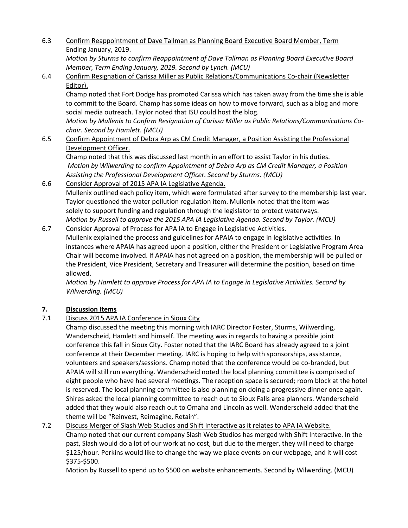6.3 Confirm Reappointment of Dave Tallman as Planning Board Executive Board Member, Term Ending January, 2019.

*Motion by Sturms to confirm Reappointment of Dave Tallman as Planning Board Executive Board Member, Term Ending January, 2019. Second by Lynch. (MCU)*

6.4 Confirm Resignation of Carissa Miller as Public Relations/Communications Co-chair (Newsletter Editor).

Champ noted that Fort Dodge has promoted Carissa which has taken away from the time she is able to commit to the Board. Champ has some ideas on how to move forward, such as a blog and more social media outreach. Taylor noted that ISU could host the blog.

*Motion by Mullenix to Confirm Resignation of Carissa Miller as Public Relations/Communications Cochair. Second by Hamlett. (MCU)*

6.5 Confirm Appointment of Debra Arp as CM Credit Manager, a Position Assisting the Professional Development Officer.

Champ noted that this was discussed last month in an effort to assist Taylor in his duties. *Motion by Wilwerding to confirm Appointment of Debra Arp as CM Credit Manager, a Position Assisting the Professional Development Officer. Second by Sturms. (MCU)*

6.6 Consider Approval of 2015 APA IA Legislative Agenda. Mullenix outlined each policy item, which were formulated after survey to the membership last year. Taylor questioned the water pollution regulation item. Mullenix noted that the item was solely to support funding and regulation through the legislator to protect waterways. *Motion by Russell to approve the 2015 APA IA Legislative Agenda. Second by Taylor. (MCU)*

6.7 Consider Approval of Process for APA IA to Engage in Legislative Activities. Mullenix explained the process and guidelines for APAIA to engage in legislative activities. In instances where APAIA has agreed upon a position, either the President or Legislative Program Area Chair will become involved. If APAIA has not agreed on a position, the membership will be pulled or the President, Vice President, Secretary and Treasurer will determine the position, based on time allowed.

*Motion by Hamlett to approve Process for APA IA to Engage in Legislative Activities. Second by Wilwerding. (MCU)*

# **7. Discussion Items**

7.1 Discuss 2015 APA IA Conference in Sioux City

Champ discussed the meeting this morning with IARC Director Foster, Sturms, Wilwerding, Wanderscheid, Hamlett and himself. The meeting was in regards to having a possible joint conference this fall in Sioux City. Foster noted that the IARC Board has already agreed to a joint conference at their December meeting. IARC is hoping to help with sponsorships, assistance, volunteers and speakers/sessions. Champ noted that the conference would be co-branded, but APAIA will still run everything. Wanderscheid noted the local planning committee is comprised of eight people who have had several meetings. The reception space is secured; room block at the hotel is reserved. The local planning committee is also planning on doing a progressive dinner once again. Shires asked the local planning committee to reach out to Sioux Falls area planners. Wanderscheid added that they would also reach out to Omaha and Lincoln as well. Wanderscheid added that the theme will be "Reinvest, Reimagine, Retain".

7.2 Discuss Merger of Slash Web Studios and Shift Interactive as it relates to APA IA Website. Champ noted that our current company Slash Web Studios has merged with Shift Interactive. In the past, Slash would do a lot of our work at no cost, but due to the merger, they will need to charge \$125/hour. Perkins would like to change the way we place events on our webpage, and it will cost \$375-\$500.

Motion by Russell to spend up to \$500 on website enhancements. Second by Wilwerding. (MCU)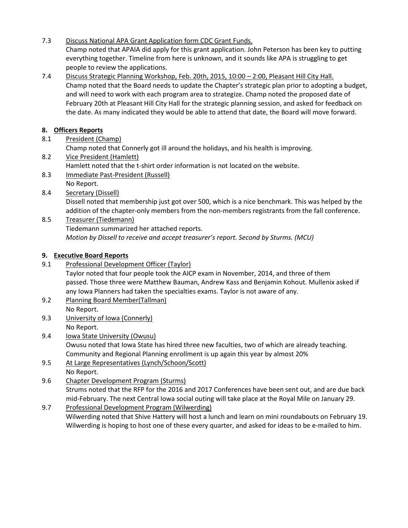- 7.3 Discuss National APA Grant Application form CDC Grant Funds. Champ noted that APAIA did apply for this grant application. John Peterson has been key to putting everything together. Timeline from here is unknown, and it sounds like APA is struggling to get people to review the applications.
- 7.4 Discuss Strategic Planning Workshop, Feb. 20th, 2015, 10:00 2:00, Pleasant Hill City Hall. Champ noted that the Board needs to update the Chapter's strategic plan prior to adopting a budget, and will need to work with each program area to strategize. Champ noted the proposed date of February 20th at Pleasant Hill City Hall for the strategic planning session, and asked for feedback on the date. As many indicated they would be able to attend that date, the Board will move forward.

# **8. Officers Reports**

8.1 President (Champ)

Champ noted that Connerly got ill around the holidays, and his health is improving.

- 8.2 Vice President (Hamlett) Hamlett noted that the t-shirt order information is not located on the website.
- 8.3 Immediate Past-President (Russell)
- No Report.
- 8.4 Secretary (Dissell)

Dissell noted that membership just got over 500, which is a nice benchmark. This was helped by the addition of the chapter-only members from the non-members registrants from the fall conference.

8.5 Treasurer (Tiedemann)

Tiedemann summarized her attached reports. *Motion by Dissell to receive and accept treasurer's report. Second by Sturms. (MCU)*

### **9. Executive Board Reports**

- 9.1 Professional Development Officer (Taylor) Taylor noted that four people took the AICP exam in November, 2014, and three of them passed. Those three were Matthew Bauman, Andrew Kass and Benjamin Kohout. Mullenix asked if any Iowa Planners had taken the specialties exams. Taylor is not aware of any.
- 9.2 Planning Board Member(Tallman) No Report.
- 9.3 University of Iowa (Connerly)

No Report.

- 9.4 Iowa State University (Owusu) Owusu noted that Iowa State has hired three new faculties, two of which are already teaching. Community and Regional Planning enrollment is up again this year by almost 20%
- 9.5 At Large Representatives (Lynch/Schoon/Scott)

No Report.

9.6 Chapter Development Program (Sturms) Strums noted that the RFP for the 2016 and 2017 Conferences have been sent out, and are due back mid-February. The next Central Iowa social outing will take place at the Royal Mile on January 29.

9.7 Professional Development Program (Wilwerding) Wilwerding noted that Shive Hattery will host a lunch and learn on mini roundabouts on February 19. Wilwerding is hoping to host one of these every quarter, and asked for ideas to be e-mailed to him.